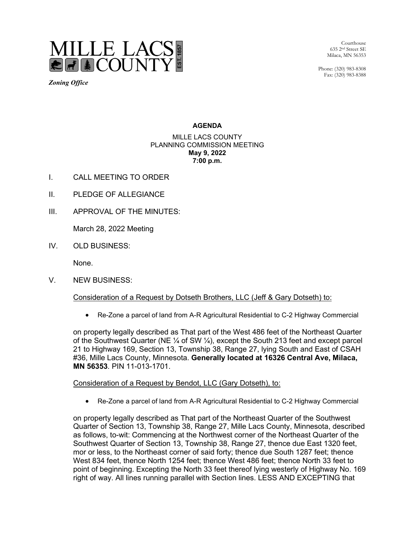

*Zoning Office*

Courthouse 635 2nd Street SE Milaca, MN 56353

Phone: (320) 983-8308 Fax: (320) 983-8388

### **AGENDA**

#### MILLE LACS COUNTY PLANNING COMMISSION MEETING **May 9, 2022 7:00 p.m.**

- I. CALL MEETING TO ORDER
- II. PLEDGE OF ALLEGIANCE
- III. APPROVAL OF THE MINUTES:

March 28, 2022 Meeting

IV. OLD BUSINESS:

None.

V. NEW BUSINESS:

## Consideration of a Request by Dotseth Brothers, LLC (Jeff & Gary Dotseth) to:

• Re-Zone a parcel of land from A-R Agricultural Residential to C-2 Highway Commercial

on property legally described as That part of the West 486 feet of the Northeast Quarter of the Southwest Quarter (NE  $\frac{1}{4}$  of SW  $\frac{1}{4}$ ), except the South 213 feet and except parcel 21 to Highway 169, Section 13, Township 38, Range 27, lying South and East of CSAH #36, Mille Lacs County, Minnesota. **Generally located at 16326 Central Ave, Milaca, MN 56353**. PIN 11-013-1701.

#### Consideration of a Request by Bendot, LLC (Gary Dotseth), to:

• Re-Zone a parcel of land from A-R Agricultural Residential to C-2 Highway Commercial

on property legally described as That part of the Northeast Quarter of the Southwest Quarter of Section 13, Township 38, Range 27, Mille Lacs County, Minnesota, described as follows, to-wit: Commencing at the Northwest corner of the Northeast Quarter of the Southwest Quarter of Section 13, Township 38, Range 27, thence due East 1320 feet, mor or less, to the Northeast corner of said forty; thence due South 1287 feet; thence West 834 feet, thence North 1254 feet; thence West 486 feet; thence North 33 feet to point of beginning. Excepting the North 33 feet thereof lying westerly of Highway No. 169 right of way. All lines running parallel with Section lines. LESS AND EXCEPTING that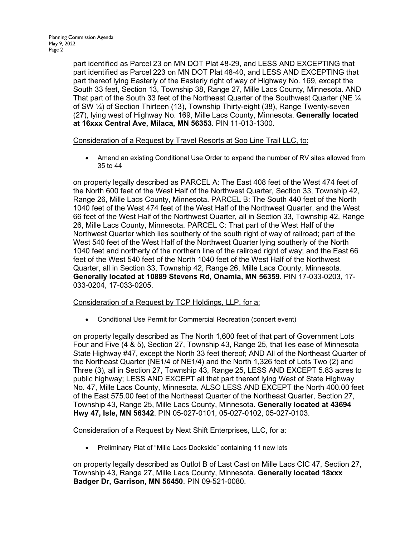part identified as Parcel 23 on MN DOT Plat 48-29, and LESS AND EXCEPTING that part identified as Parcel 223 on MN DOT Plat 48-40, and LESS AND EXCEPTING that part thereof lying Easterly of the Easterly right of way of Highway No. 169, except the South 33 feet, Section 13, Township 38, Range 27, Mille Lacs County, Minnesota. AND That part of the South 33 feet of the Northeast Quarter of the Southwest Quarter (NE  $\mathcal{V}_4$ of SW ¼) of Section Thirteen (13), Township Thirty-eight (38), Range Twenty-seven (27), lying west of Highway No. 169, Mille Lacs County, Minnesota. **Generally located at 16xxx Central Ave, Milaca, MN 56353**. PIN 11-013-1300.

## Consideration of a Request by Travel Resorts at Soo Line Trail LLC, to:

• Amend an existing Conditional Use Order to expand the number of RV sites allowed from 35 to 44

on property legally described as PARCEL A: The East 408 feet of the West 474 feet of the North 600 feet of the West Half of the Northwest Quarter, Section 33, Township 42, Range 26, Mille Lacs County, Minnesota. PARCEL B: The South 440 feet of the North 1040 feet of the West 474 feet of the West Half of the Northwest Quarter, and the West 66 feet of the West Half of the Northwest Quarter, all in Section 33, Township 42, Range 26, Mille Lacs County, Minnesota. PARCEL C: That part of the West Half of the Northwest Quarter which lies southerly of the south right of way of railroad; part of the West 540 feet of the West Half of the Northwest Quarter lying southerly of the North 1040 feet and northerly of the northern line of the railroad right of way; and the East 66 feet of the West 540 feet of the North 1040 feet of the West Half of the Northwest Quarter, all in Section 33, Township 42, Range 26, Mille Lacs County, Minnesota. **Generally located at 10889 Stevens Rd, Onamia, MN 56359**. PIN 17-033-0203, 17- 033-0204, 17-033-0205.

# Consideration of a Request by TCP Holdings, LLP, for a:

• Conditional Use Permit for Commercial Recreation (concert event)

on property legally described as The North 1,600 feet of that part of Government Lots Four and Five (4 & 5), Section 27, Township 43, Range 25, that lies ease of Minnesota State Highway #47, except the North 33 feet thereof; AND All of the Northeast Quarter of the Northeast Quarter (NE1/4 of NE1/4) and the North 1,326 feet of Lots Two (2) and Three (3), all in Section 27, Township 43, Range 25, LESS AND EXCEPT 5.83 acres to public highway; LESS AND EXCEPT all that part thereof lying West of State Highway No. 47, Mille Lacs County, Minnesota. ALSO LESS AND EXCEPT the North 400.00 feet of the East 575.00 feet of the Northeast Quarter of the Northeast Quarter, Section 27, Township 43, Range 25, Mille Lacs County, Minnesota. **Generally located at 43694 Hwy 47, Isle, MN 56342**. PIN 05-027-0101, 05-027-0102, 05-027-0103.

## Consideration of a Request by Next Shift Enterprises, LLC, for a:

• Preliminary Plat of "Mille Lacs Dockside" containing 11 new lots

on property legally described as Outlot B of Last Cast on Mille Lacs CIC 47, Section 27, Township 43, Range 27, Mille Lacs County, Minnesota. **Generally located 18xxx Badger Dr, Garrison, MN 56450**. PIN 09-521-0080.